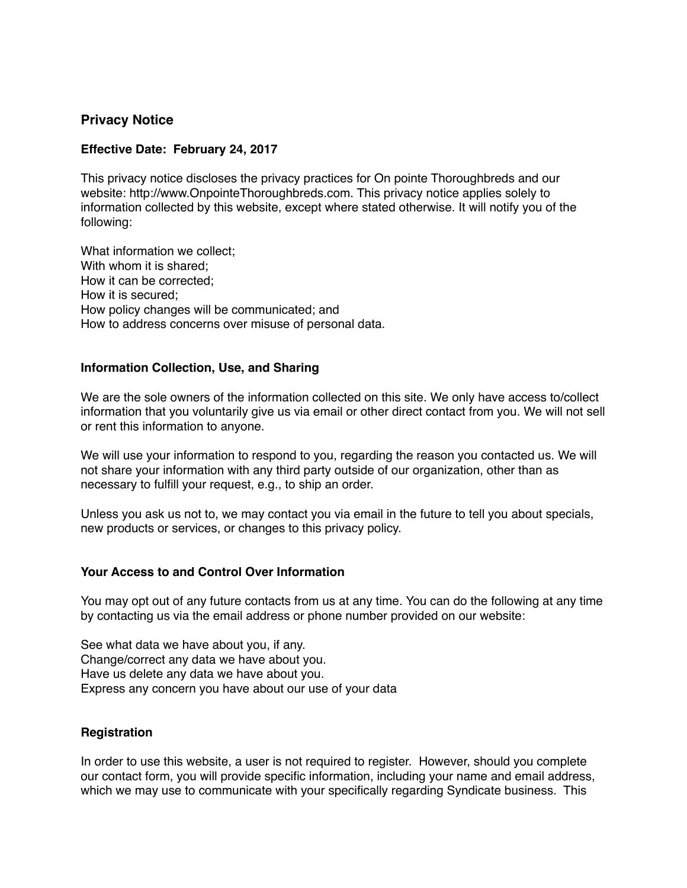## **Privacy Notice**

#### **Effective Date: February 24, 2017**

This privacy notice discloses the privacy practices for On pointe Thoroughbreds and our website: http://www.OnpointeThoroughbreds.com. This privacy notice applies solely to information collected by this website, except where stated otherwise. It will notify you of the following:

What information we collect; With whom it is shared: How it can be corrected; How it is secured; How policy changes will be communicated; and How to address concerns over misuse of personal data.

### **Information Collection, Use, and Sharing**

We are the sole owners of the information collected on this site. We only have access to/collect information that you voluntarily give us via email or other direct contact from you. We will not sell or rent this information to anyone.

We will use your information to respond to you, regarding the reason you contacted us. We will not share your information with any third party outside of our organization, other than as necessary to fulfill your request, e.g., to ship an order.

Unless you ask us not to, we may contact you via email in the future to tell you about specials, new products or services, or changes to this privacy policy.

#### **Your Access to and Control Over Information**

You may opt out of any future contacts from us at any time. You can do the following at any time by contacting us via the email address or phone number provided on our website:

See what data we have about you, if any. Change/correct any data we have about you. Have us delete any data we have about you. Express any concern you have about our use of your data

#### **Registration**

In order to use this website, a user is not required to register. However, should you complete our contact form, you will provide specific information, including your name and email address, which we may use to communicate with your specifically regarding Syndicate business. This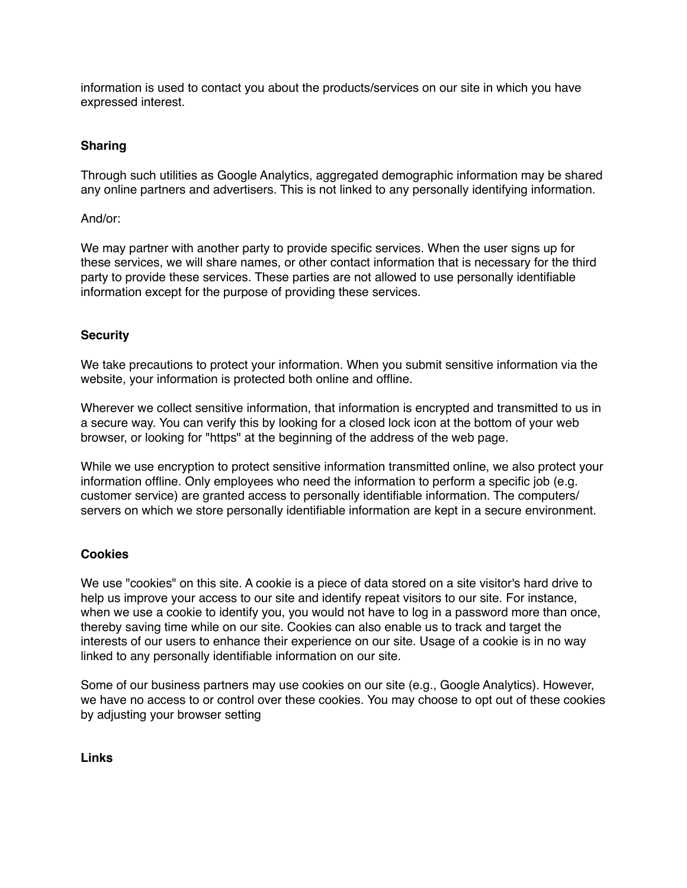information is used to contact you about the products/services on our site in which you have expressed interest.

# **Sharing**

Through such utilities as Google Analytics, aggregated demographic information may be shared any online partners and advertisers. This is not linked to any personally identifying information.

And/or:

We may partner with another party to provide specific services. When the user signs up for these services, we will share names, or other contact information that is necessary for the third party to provide these services. These parties are not allowed to use personally identifiable information except for the purpose of providing these services.

## **Security**

We take precautions to protect your information. When you submit sensitive information via the website, your information is protected both online and offline.

Wherever we collect sensitive information, that information is encrypted and transmitted to us in a secure way. You can verify this by looking for a closed lock icon at the bottom of your web browser, or looking for "https" at the beginning of the address of the web page.

While we use encryption to protect sensitive information transmitted online, we also protect your information offline. Only employees who need the information to perform a specific job (e.g. customer service) are granted access to personally identifiable information. The computers/ servers on which we store personally identifiable information are kept in a secure environment.

## **Cookies**

We use "cookies" on this site. A cookie is a piece of data stored on a site visitor's hard drive to help us improve your access to our site and identify repeat visitors to our site. For instance, when we use a cookie to identify you, you would not have to log in a password more than once, thereby saving time while on our site. Cookies can also enable us to track and target the interests of our users to enhance their experience on our site. Usage of a cookie is in no way linked to any personally identifiable information on our site.

Some of our business partners may use cookies on our site (e.g., Google Analytics). However, we have no access to or control over these cookies. You may choose to opt out of these cookies by adjusting your browser setting

**Links**